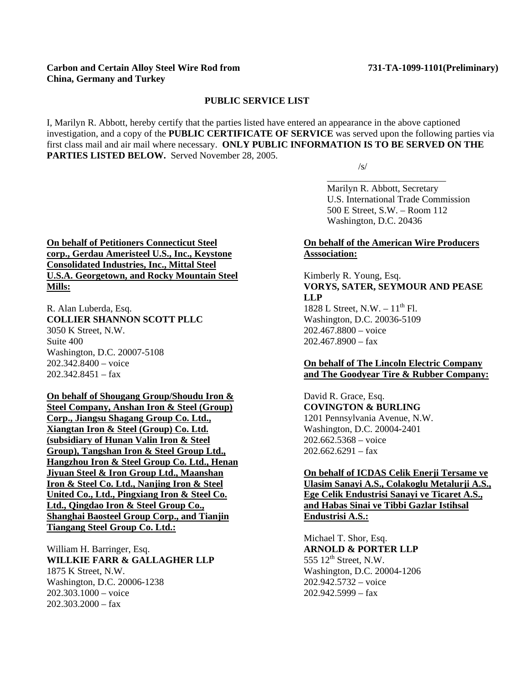### **Carbon and Certain Alloy Steel Wire Rod from 731-TA-1099-1101(Preliminary) China, Germany and Turkey**

#### **PUBLIC SERVICE LIST**

 $\overline{\phantom{a}}$  , and the contract of the contract of the contract of the contract of the contract of the contract of the contract of the contract of the contract of the contract of the contract of the contract of the contrac

I, Marilyn R. Abbott, hereby certify that the parties listed have entered an appearance in the above captioned investigation, and a copy of the **PUBLIC CERTIFICATE OF SERVICE** was served upon the following parties via first class mail and air mail where necessary. **ONLY PUBLIC INFORMATION IS TO BE SERVED ON THE PARTIES LISTED BELOW.** Served November 28, 2005.

 $\sqrt{s}$ /s/

 Marilyn R. Abbott, Secretary U.S. International Trade Commission 500 E Street, S.W. – Room 112 Washington, D.C. 20436

# **On behalf of the American Wire Producers Asssociation:**

# Kimberly R. Young, Esq. **VORYS, SATER, SEYMOUR AND PEASE LLP**

1828 L Street, N.W.  $-11^{th}$  Fl. Washington, D.C. 20036-5109 202.467.8800 – voice  $202.467.8900 - f$ ax

## **On behalf of The Lincoln Electric Company and The Goodyear Tire & Rubber Company:**

David R. Grace, Esq. **COVINGTON & BURLING** 1201 Pennsylvania Avenue, N.W. Washington, D.C. 20004-2401 202.662.5368 – voice  $202.662.6291 - fax$ 

**On behalf of ICDAS Celik Enerji Tersame ve Ulasim Sanayi A.S., Colakoglu Metalurji A.S., Ege Celik Endustrisi Sanayi ve Ticaret A.S., and Habas Sinai ve Tibbi Gazlar Istihsal Endustrisi A.S.:**

Michael T. Shor, Esq. **ARNOLD & PORTER LLP** 555  $12<sup>th</sup>$  Street, N.W. Washington, D.C. 20004-1206 202.942.5732 – voice  $202.942.5999 - fax$ 

**On behalf of Petitioners Connecticut Steel corp., Gerdau Ameristeel U.S., Inc., Keystone Consolidated Industries, Inc., Mittal Steel U.S.A. Georgetown, and Rocky Mountain Steel Mills:**

R. Alan Luberda, Esq. **COLLIER SHANNON SCOTT PLLC** 3050 K Street, N.W. Suite 400 Washington, D.C. 20007-5108 202.342.8400 – voice  $202.342.8451 - fax$ 

# **On behalf of Shougang Group/Shoudu Iron &**

**Steel Company, Anshan Iron & Steel (Group) Corp., Jiangsu Shagang Group Co. Ltd., Xiangtan Iron & Steel (Group) Co. Ltd. (subsidiary of Hunan Valin Iron & Steel Group), Tangshan Iron & Steel Group Ltd., Hangzhou Iron & Steel Group Co. Ltd., Henan Jiyuan Steel & Iron Group Ltd., Maanshan Iron & Steel Co. Ltd., Nanjing Iron & Steel United Co., Ltd., Pingxiang Iron & Steel Co. Ltd., Qingdao Iron & Steel Group Co., Shanghai Baosteel Group Corp., and Tianjin Tiangang Steel Group Co. Ltd.:**

William H. Barringer, Esq. **WILLKIE FARR & GALLAGHER LLP** 1875 K Street, N.W. Washington, D.C. 20006-1238 202.303.1000 – voice  $202.303.2000 - fax$